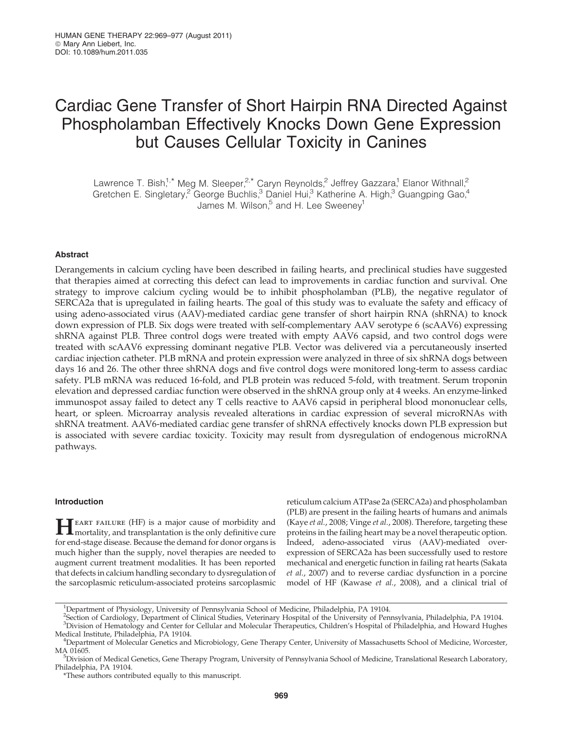# Cardiac Gene Transfer of Short Hairpin RNA Directed Against Phospholamban Effectively Knocks Down Gene Expression but Causes Cellular Toxicity in Canines

Lawrence T. Bish,<sup>1,\*</sup> Meg M. Sleeper,<sup>2,\*</sup> Caryn Reynolds,<sup>2</sup> Jeffrey Gazzara,<sup>1</sup> Elanor Withnall,<sup>2</sup> Gretchen E. Singletary,<sup>2</sup> George Buchlis,<sup>3</sup> Daniel Hui,<sup>3</sup> Katherine A. High,<sup>3</sup> Guangping Gao,<sup>4</sup> James M. Wilson, $5$  and H. Lee Sweeney<sup>1</sup>

# **Abstract**

Derangements in calcium cycling have been described in failing hearts, and preclinical studies have suggested that therapies aimed at correcting this defect can lead to improvements in cardiac function and survival. One strategy to improve calcium cycling would be to inhibit phospholamban (PLB), the negative regulator of SERCA2a that is upregulated in failing hearts. The goal of this study was to evaluate the safety and efficacy of using adeno-associated virus (AAV)-mediated cardiac gene transfer of short hairpin RNA (shRNA) to knock down expression of PLB. Six dogs were treated with self-complementary AAV serotype 6 (scAAV6) expressing shRNA against PLB. Three control dogs were treated with empty AAV6 capsid, and two control dogs were treated with scAAV6 expressing dominant negative PLB. Vector was delivered via a percutaneously inserted cardiac injection catheter. PLB mRNA and protein expression were analyzed in three of six shRNA dogs between days 16 and 26. The other three shRNA dogs and five control dogs were monitored long-term to assess cardiac safety. PLB mRNA was reduced 16-fold, and PLB protein was reduced 5-fold, with treatment. Serum troponin elevation and depressed cardiac function were observed in the shRNA group only at 4 weeks. An enzyme-linked immunospot assay failed to detect any T cells reactive to AAV6 capsid in peripheral blood mononuclear cells, heart, or spleen. Microarray analysis revealed alterations in cardiac expression of several microRNAs with shRNA treatment. AAV6-mediated cardiac gene transfer of shRNA effectively knocks down PLB expression but is associated with severe cardiac toxicity. Toxicity may result from dysregulation of endogenous microRNA pathways.

# Introduction

**HEART FAILURE (HF)** is a major cause of morbidity and mortality, and transplantation is the only definitive cure for end-stage disease. Because the demand for donor organs is much higher than the supply, novel therapies are needed to augment current treatment modalities. It has been reported that defects in calcium handling secondary to dysregulation of the sarcoplasmic reticulum-associated proteins sarcoplasmic reticulum calcium ATPase 2a (SERCA2a) and phospholamban (PLB) are present in the failing hearts of humans and animals (Kaye et al., 2008; Vinge et al., 2008). Therefore, targeting these proteins in the failing heart may be a novel therapeutic option. Indeed, adeno-associated virus (AAV)-mediated overexpression of SERCA2a has been successfully used to restore mechanical and energetic function in failing rat hearts (Sakata et al., 2007) and to reverse cardiac dysfunction in a porcine model of HF (Kawase et al., 2008), and a clinical trial of

<sup>&</sup>lt;sup>1</sup>Department of Physiology, University of Pennsylvania School of Medicine, Philadelphia, PA 19104.

<sup>2</sup> Section of Cardiology, Department of Clinical Studies, Veterinary Hospital of the University of Pennsylvania, Philadelphia, PA 19104. 3 Division of Hematology and Center for Cellular and Molecular Therapeutics, Children's Hospital of Philadelphia, and Howard Hughes Medical Institute, Philadelphia, PA 19104. <sup>4</sup>

Department of Molecular Genetics and Microbiology, Gene Therapy Center, University of Massachusetts School of Medicine, Worcester, MA 01605.

Division of Medical Genetics, Gene Therapy Program, University of Pennsylvania School of Medicine, Translational Research Laboratory, Philadelphia, PA 19104.

<sup>\*</sup>These authors contributed equally to this manuscript.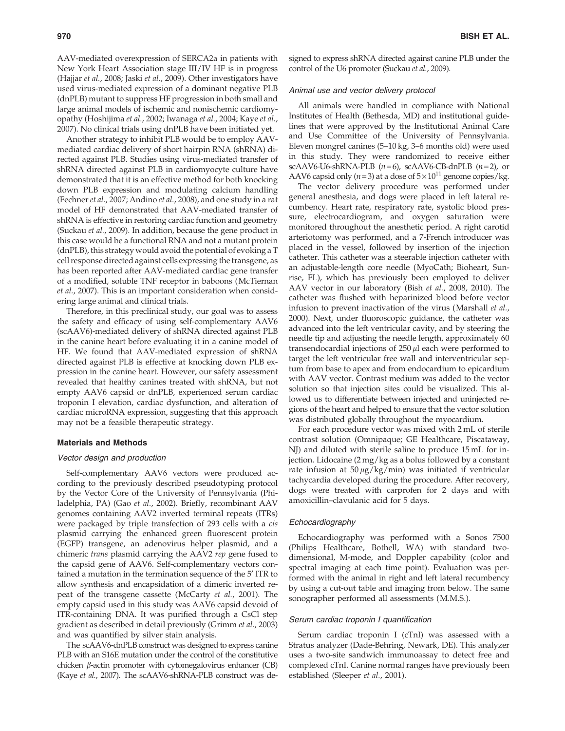AAV-mediated overexpression of SERCA2a in patients with New York Heart Association stage III/IV HF is in progress (Hajjar et al., 2008; Jaski et al., 2009). Other investigators have used virus-mediated expression of a dominant negative PLB (dnPLB) mutant to suppress HF progression in both small and large animal models of ischemic and nonischemic cardiomyopathy (Hoshijima et al., 2002; Iwanaga et al., 2004; Kaye et al., 2007). No clinical trials using dnPLB have been initiated yet.

Another strategy to inhibit PLB would be to employ AAVmediated cardiac delivery of short hairpin RNA (shRNA) directed against PLB. Studies using virus-mediated transfer of shRNA directed against PLB in cardiomyocyte culture have demonstrated that it is an effective method for both knocking down PLB expression and modulating calcium handling (Fechner et al., 2007; Andino et al., 2008), and one study in a rat model of HF demonstrated that AAV-mediated transfer of shRNA is effective in restoring cardiac function and geometry (Suckau et al., 2009). In addition, because the gene product in this case would be a functional RNA and not a mutant protein (dnPLB), this strategy would avoid the potential of evoking a T cell response directed against cells expressing the transgene, as has been reported after AAV-mediated cardiac gene transfer of a modified, soluble TNF receptor in baboons (McTiernan et al., 2007). This is an important consideration when considering large animal and clinical trials.

Therefore, in this preclinical study, our goal was to assess the safety and efficacy of using self-complementary AAV6 (scAAV6)-mediated delivery of shRNA directed against PLB in the canine heart before evaluating it in a canine model of HF. We found that AAV-mediated expression of shRNA directed against PLB is effective at knocking down PLB expression in the canine heart. However, our safety assessment revealed that healthy canines treated with shRNA, but not empty AAV6 capsid or dnPLB, experienced serum cardiac troponin I elevation, cardiac dysfunction, and alteration of cardiac microRNA expression, suggesting that this approach may not be a feasible therapeutic strategy.

#### Materials and Methods

# Vector design and production

Self-complementary AAV6 vectors were produced according to the previously described pseudotyping protocol by the Vector Core of the University of Pennsylvania (Philadelphia, PA) (Gao et al., 2002). Briefly, recombinant AAV genomes containing AAV2 inverted terminal repeats (ITRs) were packaged by triple transfection of 293 cells with a cis plasmid carrying the enhanced green fluorescent protein (EGFP) transgene, an adenovirus helper plasmid, and a chimeric trans plasmid carrying the AAV2 rep gene fused to the capsid gene of AAV6. Self-complementary vectors contained a mutation in the termination sequence of the 5<sup> $\prime$ </sup> ITR to allow synthesis and encapsidation of a dimeric inverted repeat of the transgene cassette (McCarty et al., 2001). The empty capsid used in this study was AAV6 capsid devoid of ITR-containing DNA. It was purified through a CsCl step gradient as described in detail previously (Grimm et al., 2003) and was quantified by silver stain analysis.

The scAAV6-dnPLB construct was designed to express canine PLB with an S16E mutation under the control of the constitutive chicken  $\beta$ -actin promoter with cytomegalovirus enhancer (CB) (Kaye et al., 2007). The scAAV6-shRNA-PLB construct was designed to express shRNA directed against canine PLB under the control of the U6 promoter (Suckau et al., 2009).

# Animal use and vector delivery protocol

All animals were handled in compliance with National Institutes of Health (Bethesda, MD) and institutional guidelines that were approved by the Institutional Animal Care and Use Committee of the University of Pennsylvania. Eleven mongrel canines (5–10 kg, 3–6 months old) were used in this study. They were randomized to receive either scAAV6-U6-shRNA-PLB  $(n=6)$ , scAAV6-CB-dnPLB  $(n=2)$ , or AAV6 capsid only ( $n=3$ ) at a dose of  $5\times10^{11}$  genome copies/kg.

The vector delivery procedure was performed under general anesthesia, and dogs were placed in left lateral recumbency. Heart rate, respiratory rate, systolic blood pressure, electrocardiogram, and oxygen saturation were monitored throughout the anesthetic period. A right carotid arteriotomy was performed, and a 7-French introducer was placed in the vessel, followed by insertion of the injection catheter. This catheter was a steerable injection catheter with an adjustable-length core needle (MyoCath; Bioheart, Sunrise, FL), which has previously been employed to deliver AAV vector in our laboratory (Bish et al., 2008, 2010). The catheter was flushed with heparinized blood before vector infusion to prevent inactivation of the virus (Marshall et al., 2000). Next, under fluoroscopic guidance, the catheter was advanced into the left ventricular cavity, and by steering the needle tip and adjusting the needle length, approximately 60 transendocardial injections of  $250 \mu l$  each were performed to target the left ventricular free wall and interventricular septum from base to apex and from endocardium to epicardium with AAV vector. Contrast medium was added to the vector solution so that injection sites could be visualized. This allowed us to differentiate between injected and uninjected regions of the heart and helped to ensure that the vector solution was distributed globally throughout the myocardium.

For each procedure vector was mixed with 2 mL of sterile contrast solution (Omnipaque; GE Healthcare, Piscataway, NJ) and diluted with sterile saline to produce 15 mL for injection. Lidocaine (2 mg/kg as a bolus followed by a constant rate infusion at  $50 \mu g/kg/min$  was initiated if ventricular tachycardia developed during the procedure. After recovery, dogs were treated with carprofen for 2 days and with amoxicillin–clavulanic acid for 5 days.

#### Echocardiography

Echocardiography was performed with a Sonos 7500 (Philips Healthcare, Bothell, WA) with standard twodimensional, M-mode, and Doppler capability (color and spectral imaging at each time point). Evaluation was performed with the animal in right and left lateral recumbency by using a cut-out table and imaging from below. The same sonographer performed all assessments (M.M.S.).

# Serum cardiac troponin I quantification

Serum cardiac troponin I (cTnI) was assessed with a Stratus analyzer (Dade-Behring, Newark, DE). This analyzer uses a two-site sandwich immunoassay to detect free and complexed cTnI. Canine normal ranges have previously been established (Sleeper et al., 2001).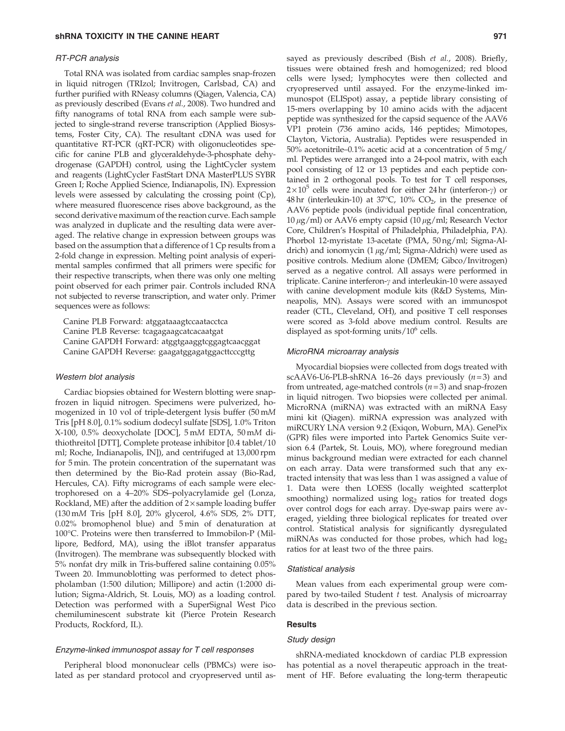#### RT-PCR analysis

Total RNA was isolated from cardiac samples snap-frozen in liquid nitrogen (TRIzol; Invitrogen, Carlsbad, CA) and further purified with RNeasy columns (Qiagen, Valencia, CA) as previously described (Evans et al., 2008). Two hundred and fifty nanograms of total RNA from each sample were subjected to single-strand reverse transcription (Applied Biosystems, Foster City, CA). The resultant cDNA was used for quantitative RT-PCR (qRT-PCR) with oligonucleotides specific for canine PLB and glyceraldehyde-3-phosphate dehydrogenase (GAPDH) control, using the LightCycler system and reagents (LightCycler FastStart DNA MasterPLUS SYBR Green I; Roche Applied Science, Indianapolis, IN). Expression levels were assessed by calculating the crossing point (Cp), where measured fluorescence rises above background, as the second derivative maximum of the reaction curve. Each sample was analyzed in duplicate and the resulting data were averaged. The relative change in expression between groups was based on the assumption that a difference of 1 Cp results from a 2-fold change in expression. Melting point analysis of experimental samples confirmed that all primers were specific for their respective transcripts, when there was only one melting point observed for each primer pair. Controls included RNA not subjected to reverse transcription, and water only. Primer sequences were as follows:

Canine PLB Forward: atggataaagtccaatacctca Canine PLB Reverse: tcagagaagcatcacaatgat Canine GAPDH Forward: atggtgaaggtcggagtcaacggat Canine GAPDH Reverse: gaagatggagatggacttcccgttg

# Western blot analysis

Cardiac biopsies obtained for Western blotting were snapfrozen in liquid nitrogen. Specimens were pulverized, homogenized in 10 vol of triple-detergent lysis buffer (50 mM Tris [pH 8.0], 0.1% sodium dodecyl sulfate [SDS], 1.0% Triton X-100, 0.5% deoxycholate [DOC], 5 mM EDTA, 50 mM dithiothreitol [DTT], Complete protease inhibitor [0.4 tablet/10 ml; Roche, Indianapolis, IN]), and centrifuged at 13,000 rpm for 5 min. The protein concentration of the supernatant was then determined by the Bio-Rad protein assay (Bio-Rad, Hercules, CA). Fifty micrograms of each sample were electrophoresed on a 4–20% SDS–polyacrylamide gel (Lonza, Rockland, ME) after the addition of  $2 \times$  sample loading buffer (130 mM Tris [pH 8.0], 20% glycerol, 4.6% SDS, 2% DTT, 0.02% bromophenol blue) and 5 min of denaturation at 100°C. Proteins were then transferred to Immobilon-P (Millipore, Bedford, MA), using the iBlot transfer apparatus (Invitrogen). The membrane was subsequently blocked with 5% nonfat dry milk in Tris-buffered saline containing 0.05% Tween 20. Immunoblotting was performed to detect phospholamban (1:500 dilution; Millipore) and actin (1:2000 dilution; Sigma-Aldrich, St. Louis, MO) as a loading control. Detection was performed with a SuperSignal West Pico chemiluminescent substrate kit (Pierce Protein Research Products, Rockford, IL).

# Enzyme-linked immunospot assay for T cell responses

Peripheral blood mononuclear cells (PBMCs) were isolated as per standard protocol and cryopreserved until assayed as previously described (Bish et al., 2008). Briefly, tissues were obtained fresh and homogenized; red blood cells were lysed; lymphocytes were then collected and cryopreserved until assayed. For the enzyme-linked immunospot (ELISpot) assay, a peptide library consisting of 15-mers overlapping by 10 amino acids with the adjacent peptide was synthesized for the capsid sequence of the AAV6 VP1 protein (736 amino acids, 146 peptides; Mimotopes, Clayton, Victoria, Australia). Peptides were resuspended in 50% acetonitrile–0.1% acetic acid at a concentration of 5 mg/ ml. Peptides were arranged into a 24-pool matrix, with each pool consisting of 12 or 13 peptides and each peptide contained in 2 orthogonal pools. To test for T cell responses,  $2 \times 10^5$  cells were incubated for either 24 hr (interferon- $\gamma$ ) or  $48\,\text{hr}$  (interleukin-10) at 37 $\degree$ C, 10% CO<sub>2</sub>, in the presence of AAV6 peptide pools (individual peptide final concentration,  $10 \,\mu$ g/ml) or AAV6 empty capsid (10  $\mu$ g/ml; Research Vector Core, Children's Hospital of Philadelphia, Philadelphia, PA). Phorbol 12-myristate 13-acetate (PMA, 50 ng/ml; Sigma-Aldrich) and ionomycin  $(1 \mu g/ml)$ ; Sigma-Aldrich) were used as positive controls. Medium alone (DMEM; Gibco/Invitrogen) served as a negative control. All assays were performed in triplicate. Canine interferon- $\gamma$  and interleukin-10 were assayed with canine development module kits (R&D Systems, Minneapolis, MN). Assays were scored with an immunospot reader (CTL, Cleveland, OH), and positive T cell responses were scored as 3-fold above medium control. Results are displayed as spot-forming units/ $10^6$  cells.

# MicroRNA microarray analysis

Myocardial biopsies were collected from dogs treated with scAAV6-U6-PLB-shRNA 16–26 days previously  $(n=3)$  and from untreated, age-matched controls  $(n=3)$  and snap-frozen in liquid nitrogen. Two biopsies were collected per animal. MicroRNA (miRNA) was extracted with an miRNA Easy mini kit (Qiagen). miRNA expression was analyzed with miRCURY LNA version 9.2 (Exiqon, Woburn, MA). GenePix (GPR) files were imported into Partek Genomics Suite version 6.4 (Partek, St. Louis, MO), where foreground median minus background median were extracted for each channel on each array. Data were transformed such that any extracted intensity that was less than 1 was assigned a value of 1. Data were then LOESS (locally weighted scatterplot smoothing) normalized using  $log<sub>2</sub>$  ratios for treated dogs over control dogs for each array. Dye-swap pairs were averaged, yielding three biological replicates for treated over control. Statistical analysis for significantly dysregulated miRNAs was conducted for those probes, which had log<sub>2</sub> ratios for at least two of the three pairs.

#### Statistical analysis

Mean values from each experimental group were compared by two-tailed Student  $t$  test. Analysis of microarray data is described in the previous section.

# **Results**

# Study design

shRNA-mediated knockdown of cardiac PLB expression has potential as a novel therapeutic approach in the treatment of HF. Before evaluating the long-term therapeutic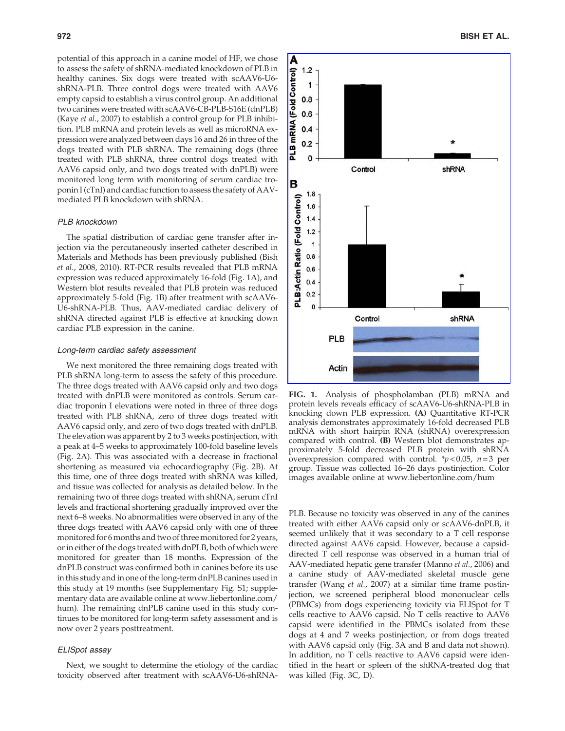potential of this approach in a canine model of HF, we chose to assess the safety of shRNA-mediated knockdown of PLB in healthy canines. Six dogs were treated with scAAV6-U6 shRNA-PLB. Three control dogs were treated with AAV6 empty capsid to establish a virus control group. An additional two canines were treated with scAAV6-CB-PLB-S16E (dnPLB) (Kaye et al., 2007) to establish a control group for PLB inhibition. PLB mRNA and protein levels as well as microRNA expression were analyzed between days 16 and 26 in three of the dogs treated with PLB shRNA. The remaining dogs (three treated with PLB shRNA, three control dogs treated with AAV6 capsid only, and two dogs treated with dnPLB) were monitored long term with monitoring of serum cardiac troponin I (cTnI) and cardiac function to assess the safety of AAVmediated PLB knockdown with shRNA.

# PLB knockdown

The spatial distribution of cardiac gene transfer after injection via the percutaneously inserted catheter described in Materials and Methods has been previously published (Bish et al., 2008, 2010). RT-PCR results revealed that PLB mRNA expression was reduced approximately 16-fold (Fig. 1A), and Western blot results revealed that PLB protein was reduced approximately 5-fold (Fig. 1B) after treatment with scAAV6- U6-shRNA-PLB. Thus, AAV-mediated cardiac delivery of shRNA directed against PLB is effective at knocking down cardiac PLB expression in the canine.

#### Long-term cardiac safety assessment

We next monitored the three remaining dogs treated with PLB shRNA long-term to assess the safety of this procedure. The three dogs treated with AAV6 capsid only and two dogs treated with dnPLB were monitored as controls. Serum cardiac troponin I elevations were noted in three of three dogs treated with PLB shRNA, zero of three dogs treated with AAV6 capsid only, and zero of two dogs treated with dnPLB. The elevation was apparent by 2 to 3 weeks postinjection, with a peak at 4–5 weeks to approximately 100-fold baseline levels (Fig. 2A). This was associated with a decrease in fractional shortening as measured via echocardiography (Fig. 2B). At this time, one of three dogs treated with shRNA was killed, and tissue was collected for analysis as detailed below. In the remaining two of three dogs treated with shRNA, serum cTnI levels and fractional shortening gradually improved over the next 6–8 weeks. No abnormalities were observed in any of the three dogs treated with AAV6 capsid only with one of three monitored for 6months and two of three monitored for 2 years, or in either of the dogs treated with dnPLB, both of which were monitored for greater than 18 months. Expression of the dnPLB construct was confirmed both in canines before its use in this study and in one of the long-term dnPLB canines used in this study at 19 months (see Supplementary Fig. S1; supplementary data are available online at www.liebertonline.com/ hum). The remaining dnPLB canine used in this study continues to be monitored for long-term safety assessment and is now over 2 years posttreatment.

# ELISpot assay

Next, we sought to determine the etiology of the cardiac toxicity observed after treatment with scAAV6-U6-shRNA-



FIG. 1. Analysis of phospholamban (PLB) mRNA and protein levels reveals efficacy of scAAV6-U6-shRNA-PLB in knocking down PLB expression. (A) Quantitative RT-PCR analysis demonstrates approximately 16-fold decreased PLB mRNA with short hairpin RNA (shRNA) overexpression compared with control. (B) Western blot demonstrates approximately 5-fold decreased PLB protein with shRNA overexpression compared with control.  $\frac{*}{p}$  < 0.05, n = 3 per group. Tissue was collected 16–26 days postinjection. Color images available online at www.liebertonline.com/hum

PLB. Because no toxicity was observed in any of the canines treated with either AAV6 capsid only or scAAV6-dnPLB, it seemed unlikely that it was secondary to a T cell response directed against AAV6 capsid. However, because a capsiddirected T cell response was observed in a human trial of AAV-mediated hepatic gene transfer (Manno et al., 2006) and a canine study of AAV-mediated skeletal muscle gene transfer (Wang et al., 2007) at a similar time frame postinjection, we screened peripheral blood mononuclear cells (PBMCs) from dogs experiencing toxicity via ELISpot for T cells reactive to AAV6 capsid. No T cells reactive to AAV6 capsid were identified in the PBMCs isolated from these dogs at 4 and 7 weeks postinjection, or from dogs treated with AAV6 capsid only (Fig. 3A and B and data not shown). In addition, no T cells reactive to AAV6 capsid were identified in the heart or spleen of the shRNA-treated dog that was killed (Fig. 3C, D).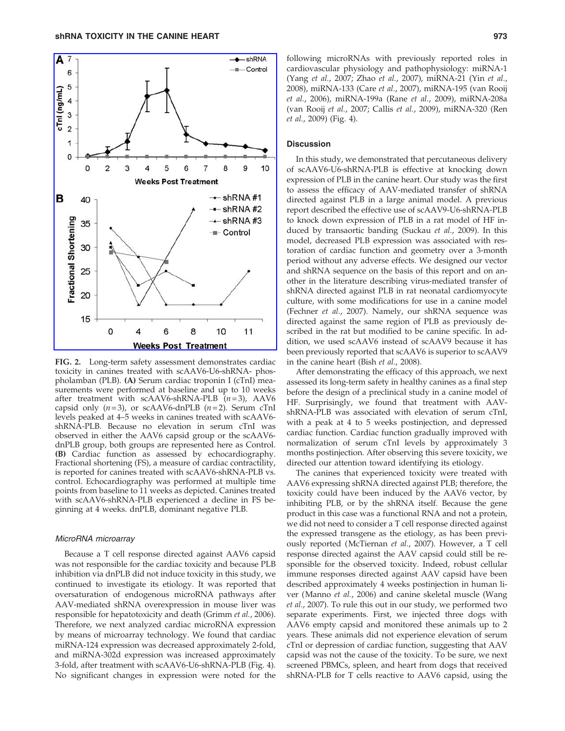

FIG. 2. Long-term safety assessment demonstrates cardiac toxicity in canines treated with scAAV6-U6-shRNA- phospholamban (PLB). (A) Serum cardiac troponin I (cTnI) measurements were performed at baseline and up to 10 weeks after treatment with scAAV6-shRNA-PLB  $(n=3)$ , AAV6 capsid only  $(n=3)$ , or scAAV6-dnPLB  $(n=2)$ . Serum cTnI levels peaked at 4–5 weeks in canines treated with scAAV6 shRNA-PLB. Because no elevation in serum cTnI was observed in either the AAV6 capsid group or the scAAV6 dnPLB group, both groups are represented here as Control. (B) Cardiac function as assessed by echocardiography. Fractional shortening (FS), a measure of cardiac contractility, is reported for canines treated with scAAV6-shRNA-PLB vs. control. Echocardiography was performed at multiple time points from baseline to 11 weeks as depicted. Canines treated with scAAV6-shRNA-PLB experienced a decline in FS beginning at 4 weeks. dnPLB, dominant negative PLB.

# MicroRNA microarray

Because a T cell response directed against AAV6 capsid was not responsible for the cardiac toxicity and because PLB inhibition via dnPLB did not induce toxicity in this study, we continued to investigate its etiology. It was reported that oversaturation of endogenous microRNA pathways after AAV-mediated shRNA overexpression in mouse liver was responsible for hepatotoxicity and death (Grimm et al., 2006). Therefore, we next analyzed cardiac microRNA expression by means of microarray technology. We found that cardiac miRNA-124 expression was decreased approximately 2-fold, and miRNA-302d expression was increased approximately 3-fold, after treatment with scAAV6-U6-shRNA-PLB (Fig. 4). No significant changes in expression were noted for the

following microRNAs with previously reported roles in cardiovascular physiology and pathophysiology: miRNA-1 (Yang et al., 2007; Zhao et al., 2007), miRNA-21 (Yin et al., 2008), miRNA-133 (Care et al., 2007), miRNA-195 (van Rooij et al., 2006), miRNA-199a (Rane et al., 2009), miRNA-208a (van Rooij et al., 2007; Callis et al., 2009), miRNA-320 (Ren et al., 2009) (Fig. 4).

# **Discussion**

In this study, we demonstrated that percutaneous delivery of scAAV6-U6-shRNA-PLB is effective at knocking down expression of PLB in the canine heart. Our study was the first to assess the efficacy of AAV-mediated transfer of shRNA directed against PLB in a large animal model. A previous report described the effective use of scAAV9-U6-shRNA-PLB to knock down expression of PLB in a rat model of HF induced by transaortic banding (Suckau et al., 2009). In this model, decreased PLB expression was associated with restoration of cardiac function and geometry over a 3-month period without any adverse effects. We designed our vector and shRNA sequence on the basis of this report and on another in the literature describing virus-mediated transfer of shRNA directed against PLB in rat neonatal cardiomyocyte culture, with some modifications for use in a canine model (Fechner et al., 2007). Namely, our shRNA sequence was directed against the same region of PLB as previously described in the rat but modified to be canine specific. In addition, we used scAAV6 instead of scAAV9 because it has been previously reported that scAAV6 is superior to scAAV9 in the canine heart (Bish et al., 2008).

After demonstrating the efficacy of this approach, we next assessed its long-term safety in healthy canines as a final step before the design of a preclinical study in a canine model of HF. Surprisingly, we found that treatment with AAVshRNA-PLB was associated with elevation of serum cTnI, with a peak at 4 to 5 weeks postinjection, and depressed cardiac function. Cardiac function gradually improved with normalization of serum cTnI levels by approximately 3 months postinjection. After observing this severe toxicity, we directed our attention toward identifying its etiology.

The canines that experienced toxicity were treated with AAV6 expressing shRNA directed against PLB; therefore, the toxicity could have been induced by the AAV6 vector, by inhibiting PLB, or by the shRNA itself. Because the gene product in this case was a functional RNA and not a protein, we did not need to consider a T cell response directed against the expressed transgene as the etiology, as has been previously reported (McTiernan et al., 2007). However, a T cell response directed against the AAV capsid could still be responsible for the observed toxicity. Indeed, robust cellular immune responses directed against AAV capsid have been described approximately 4 weeks postinjection in human liver (Manno et al., 2006) and canine skeletal muscle (Wang et al., 2007). To rule this out in our study, we performed two separate experiments. First, we injected three dogs with AAV6 empty capsid and monitored these animals up to 2 years. These animals did not experience elevation of serum cTnI or depression of cardiac function, suggesting that AAV capsid was not the cause of the toxicity. To be sure, we next screened PBMCs, spleen, and heart from dogs that received shRNA-PLB for T cells reactive to AAV6 capsid, using the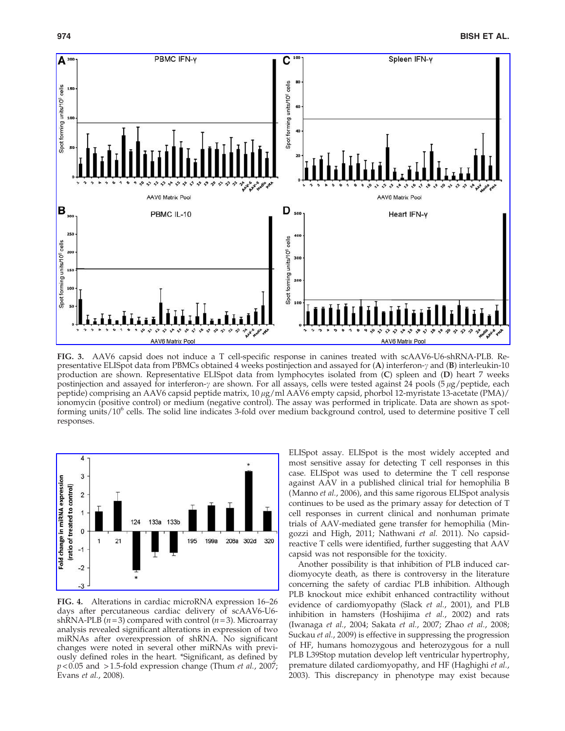

FIG. 3. AAV6 capsid does not induce a T cell-specific response in canines treated with scAAV6-U6-shRNA-PLB. Representative ELISpot data from PBMCs obtained 4 weeks postinjection and assayed for  $(A)$  interferon- $\gamma$  and  $(B)$  interleukin-10 production are shown. Representative ELISpot data from lymphocytes isolated from (C) spleen and (D) heart 7 weeks postinjection and assayed for interferon- $\gamma$  are shown. For all assays, cells were tested against 24 pools (5  $\mu$ g/peptide, each peptide) comprising an AAV6 capsid peptide matrix, 10 μg/ml AAV6 empty capsid, phorbol 12-myristate 13-acetate (PMA)/ ionomycin (positive control) or medium (negative control). The assay was performed in triplicate. Data are shown as spotforming units/10<sup>6</sup> cells. The solid line indicates 3-fold over medium background control, used to determine positive T cell responses.



FIG. 4. Alterations in cardiac microRNA expression 16–26 days after percutaneous cardiac delivery of scAAV6-U6 shRNA-PLB ( $n = 3$ ) compared with control ( $n = 3$ ). Microarray analysis revealed significant alterations in expression of two miRNAs after overexpression of shRNA. No significant changes were noted in several other miRNAs with previously defined roles in the heart. \*Significant, as defined by  $p < 0.05$  and  $> 1.5$ -fold expression change (Thum *et al.*, 2007; Evans et al., 2008).

ELISpot assay. ELISpot is the most widely accepted and most sensitive assay for detecting T cell responses in this case. ELISpot was used to determine the T cell response against AAV in a published clinical trial for hemophilia B (Manno *et al.*, 2006), and this same rigorous ELISpot analysis continues to be used as the primary assay for detection of T cell responses in current clinical and nonhuman primate trials of AAV-mediated gene transfer for hemophilia (Mingozzi and High, 2011; Nathwani et al. 2011). No capsidreactive T cells were identified, further suggesting that AAV capsid was not responsible for the toxicity.

Another possibility is that inhibition of PLB induced cardiomyocyte death, as there is controversy in the literature concerning the safety of cardiac PLB inhibition. Although PLB knockout mice exhibit enhanced contractility without evidence of cardiomyopathy (Slack et al., 2001), and PLB inhibition in hamsters (Hoshijima et al., 2002) and rats (Iwanaga et al., 2004; Sakata et al., 2007; Zhao et al., 2008; Suckau et al., 2009) is effective in suppressing the progression of HF, humans homozygous and heterozygous for a null PLB L39Stop mutation develop left ventricular hypertrophy, premature dilated cardiomyopathy, and HF (Haghighi et al., 2003). This discrepancy in phenotype may exist because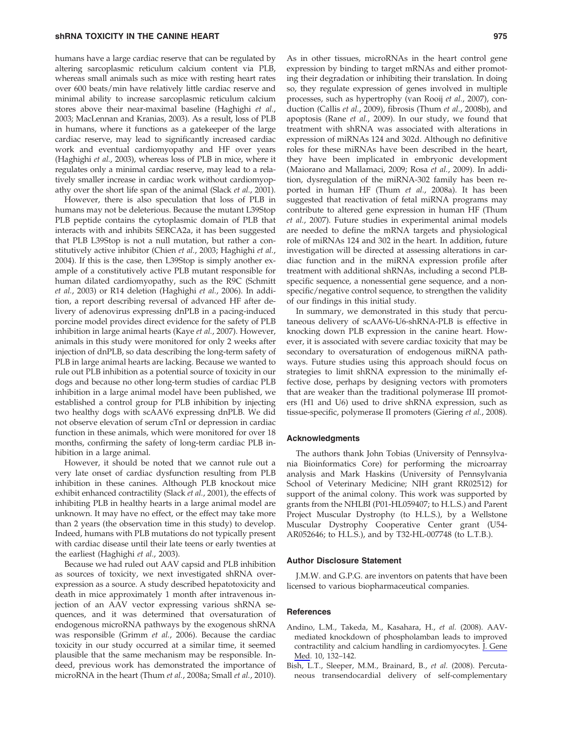humans have a large cardiac reserve that can be regulated by altering sarcoplasmic reticulum calcium content via PLB, whereas small animals such as mice with resting heart rates over 600 beats/min have relatively little cardiac reserve and minimal ability to increase sarcoplasmic reticulum calcium stores above their near-maximal baseline (Haghighi et al., 2003; MacLennan and Kranias, 2003). As a result, loss of PLB in humans, where it functions as a gatekeeper of the large cardiac reserve, may lead to significantly increased cardiac work and eventual cardiomyopathy and HF over years (Haghighi et al., 2003), whereas loss of PLB in mice, where it regulates only a minimal cardiac reserve, may lead to a relatively smaller increase in cardiac work without cardiomyopathy over the short life span of the animal (Slack et al., 2001).

However, there is also speculation that loss of PLB in humans may not be deleterious. Because the mutant L39Stop PLB peptide contains the cytoplasmic domain of PLB that interacts with and inhibits SERCA2a, it has been suggested that PLB L39Stop is not a null mutation, but rather a constitutively active inhibitor (Chien et al., 2003; Haghighi et al., 2004). If this is the case, then L39Stop is simply another example of a constitutively active PLB mutant responsible for human dilated cardiomyopathy, such as the R9C (Schmitt et al., 2003) or R14 deletion (Haghighi et al., 2006). In addition, a report describing reversal of advanced HF after delivery of adenovirus expressing dnPLB in a pacing-induced porcine model provides direct evidence for the safety of PLB inhibition in large animal hearts (Kaye et al., 2007). However, animals in this study were monitored for only 2 weeks after injection of dnPLB, so data describing the long-term safety of PLB in large animal hearts are lacking. Because we wanted to rule out PLB inhibition as a potential source of toxicity in our dogs and because no other long-term studies of cardiac PLB inhibition in a large animal model have been published, we established a control group for PLB inhibition by injecting two healthy dogs with scAAV6 expressing dnPLB. We did not observe elevation of serum cTnI or depression in cardiac function in these animals, which were monitored for over 18 months, confirming the safety of long-term cardiac PLB inhibition in a large animal.

However, it should be noted that we cannot rule out a very late onset of cardiac dysfunction resulting from PLB inhibition in these canines. Although PLB knockout mice exhibit enhanced contractility (Slack et al., 2001), the effects of inhibiting PLB in healthy hearts in a large animal model are unknown. It may have no effect, or the effect may take more than 2 years (the observation time in this study) to develop. Indeed, humans with PLB mutations do not typically present with cardiac disease until their late teens or early twenties at the earliest (Haghighi et al., 2003).

Because we had ruled out AAV capsid and PLB inhibition as sources of toxicity, we next investigated shRNA overexpression as a source. A study described hepatotoxicity and death in mice approximately 1 month after intravenous injection of an AAV vector expressing various shRNA sequences, and it was determined that oversaturation of endogenous microRNA pathways by the exogenous shRNA was responsible (Grimm et al., 2006). Because the cardiac toxicity in our study occurred at a similar time, it seemed plausible that the same mechanism may be responsible. Indeed, previous work has demonstrated the importance of microRNA in the heart (Thum et al., 2008a; Small et al., 2010).

As in other tissues, microRNAs in the heart control gene expression by binding to target mRNAs and either promoting their degradation or inhibiting their translation. In doing so, they regulate expression of genes involved in multiple processes, such as hypertrophy (van Rooij et al., 2007), conduction (Callis et al., 2009), fibrosis (Thum et al., 2008b), and apoptosis (Rane et al., 2009). In our study, we found that treatment with shRNA was associated with alterations in expression of miRNAs 124 and 302d. Although no definitive roles for these miRNAs have been described in the heart, they have been implicated in embryonic development (Maiorano and Mallamaci, 2009; Rosa et al., 2009). In addition, dysregulation of the miRNA-302 family has been reported in human HF (Thum et al., 2008a). It has been suggested that reactivation of fetal miRNA programs may contribute to altered gene expression in human HF (Thum et al., 2007). Future studies in experimental animal models are needed to define the mRNA targets and physiological role of miRNAs 124 and 302 in the heart. In addition, future investigation will be directed at assessing alterations in cardiac function and in the miRNA expression profile after treatment with additional shRNAs, including a second PLBspecific sequence, a nonessential gene sequence, and a nonspecific/negative control sequence, to strengthen the validity of our findings in this initial study.

In summary, we demonstrated in this study that percutaneous delivery of scAAV6-U6-shRNA-PLB is effective in knocking down PLB expression in the canine heart. However, it is associated with severe cardiac toxicity that may be secondary to oversaturation of endogenous miRNA pathways. Future studies using this approach should focus on strategies to limit shRNA expression to the minimally effective dose, perhaps by designing vectors with promoters that are weaker than the traditional polymerase III promoters (H1 and U6) used to drive shRNA expression, such as tissue-specific, polymerase II promoters (Giering et al., 2008).

#### Acknowledgments

The authors thank John Tobias (University of Pennsylvania Bioinformatics Core) for performing the microarray analysis and Mark Haskins (University of Pennsylvania School of Veterinary Medicine; NIH grant RR02512) for support of the animal colony. This work was supported by grants from the NHLBI (P01-HL059407; to H.L.S.) and Parent Project Muscular Dystrophy (to H.L.S.), by a Wellstone Muscular Dystrophy Cooperative Center grant (U54- AR052646; to H.L.S.), and by T32-HL-007748 (to L.T.B.).

#### Author Disclosure Statement

J.M.W. and G.P.G. are inventors on patents that have been licensed to various biopharmaceutical companies.

#### **References**

- Andino, L.M., Takeda, M., Kasahara, H., et al. (2008). AAVmediated knockdown of phospholamban leads to improved contractility and calcium handling in cardiomyocytes. J. Gene Med. 10, 132–142.
- Bish, L.T., Sleeper, M.M., Brainard, B., et al. (2008). Percutaneous transendocardial delivery of self-complementary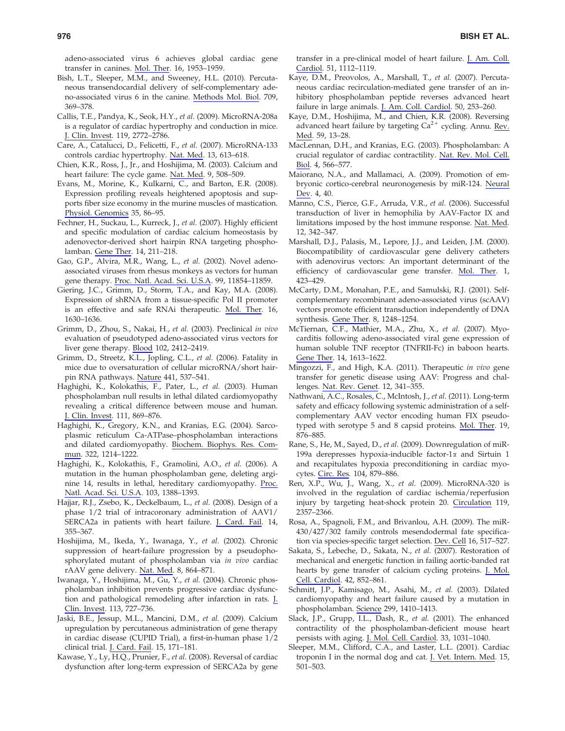adeno-associated virus 6 achieves global cardiac gene transfer in canines. Mol. Ther. 16, 1953–1959.

- Bish, L.T., Sleeper, M.M., and Sweeney, H.L. (2010). Percutaneous transendocardial delivery of self-complementary adeno-associated virus 6 in the canine. Methods Mol. Biol. 709, 369–378.
- Callis, T.E., Pandya, K., Seok, H.Y., et al. (2009). MicroRNA-208a is a regulator of cardiac hypertrophy and conduction in mice. J. Clin. Invest. 119, 2772–2786.
- Care, A., Catalucci, D., Felicetti, F., et al. (2007). MicroRNA-133 controls cardiac hypertrophy. Nat. Med. 13, 613–618.
- Chien, K.R., Ross, J., Jr., and Hoshijima, M. (2003). Calcium and heart failure: The cycle game. Nat. Med. 9, 508–509.
- Evans, M., Morine, K., Kulkarni, C., and Barton, E.R. (2008). Expression profiling reveals heightened apoptosis and supports fiber size economy in the murine muscles of mastication. Physiol. Genomics 35, 86–95.
- Fechner, H., Suckau, L., Kurreck, J., et al. (2007). Highly efficient and specific modulation of cardiac calcium homeostasis by adenovector-derived short hairpin RNA targeting phospholamban. Gene Ther. 14, 211–218.
- Gao, G.P., Alvira, M.R., Wang, L., et al. (2002). Novel adenoassociated viruses from rhesus monkeys as vectors for human gene therapy. Proc. Natl. Acad. Sci. U.S.A. 99, 11854–11859.
- Giering, J.C., Grimm, D., Storm, T.A., and Kay, M.A. (2008). Expression of shRNA from a tissue-specific Pol II promoter is an effective and safe RNAi therapeutic. Mol. Ther. 16, 1630–1636.
- Grimm, D., Zhou, S., Nakai, H., et al. (2003). Preclinical in vivo evaluation of pseudotyped adeno-associated virus vectors for liver gene therapy. Blood 102, 2412–2419.
- Grimm, D., Streetz, K.L., Jopling, C.L., et al. (2006). Fatality in mice due to oversaturation of cellular microRNA/short hairpin RNA pathways. Nature 441, 537–541.
- Haghighi, K., Kolokathis, F., Pater, L., et al. (2003). Human phospholamban null results in lethal dilated cardiomyopathy revealing a critical difference between mouse and human. J. Clin. Invest. 111, 869–876.
- Haghighi, K., Gregory, K.N., and Kranias, E.G. (2004). Sarcoplasmic reticulum Ca-ATPase–phospholamban interactions and dilated cardiomyopathy. Biochem. Biophys. Res. Commun. 322, 1214–1222.
- Haghighi, K., Kolokathis, F., Gramolini, A.O., et al. (2006). A mutation in the human phospholamban gene, deleting arginine 14, results in lethal, hereditary cardiomyopathy. Proc. Natl. Acad. Sci. U.S.A. 103, 1388–1393.
- Hajjar, R.J., Zsebo, K., Deckelbaum, L., et al. (2008). Design of a phase 1/2 trial of intracoronary administration of AAV1/ SERCA2a in patients with heart failure. J. Card. Fail. 14, 355–367.
- Hoshijima, M., Ikeda, Y., Iwanaga, Y., et al. (2002). Chronic suppression of heart-failure progression by a pseudophosphorylated mutant of phospholamban via in vivo cardiac rAAV gene delivery. Nat. Med. 8, 864–871.
- Iwanaga, Y., Hoshijima, M., Gu, Y., et al. (2004). Chronic phospholamban inhibition prevents progressive cardiac dysfunction and pathological remodeling after infarction in rats. J. Clin. Invest. 113, 727–736.
- Jaski, B.E., Jessup, M.L., Mancini, D.M., et al. (2009). Calcium upregulation by percutaneous administration of gene therapy in cardiac disease (CUPID Trial), a first-in-human phase 1/2 clinical trial. J. Card. Fail. 15, 171–181.
- Kawase, Y., Ly, H.Q., Prunier, F., et al. (2008). Reversal of cardiac dysfunction after long-term expression of SERCA2a by gene

transfer in a pre-clinical model of heart failure. J. Am. Coll. Cardiol. 51, 1112–1119.

- Kaye, D.M., Preovolos, A., Marshall, T., et al. (2007). Percutaneous cardiac recirculation-mediated gene transfer of an inhibitory phospholamban peptide reverses advanced heart failure in large animals. J. Am. Coll. Cardiol. 50, 253–260.
- Kaye, D.M., Hoshijima, M., and Chien, K.R. (2008). Reversing advanced heart failure by targeting  $Ca<sup>2+</sup>$  cycling. Annu. Rev. Med. 59, 13–28.
- MacLennan, D.H., and Kranias, E.G. (2003). Phospholamban: A crucial regulator of cardiac contractility. Nat. Rev. Mol. Cell. Biol. 4, 566–577.
- Maiorano, N.A., and Mallamaci, A. (2009). Promotion of embryonic cortico-cerebral neuronogenesis by miR-124. Neural Dev. 4, 40.
- Manno, C.S., Pierce, G.F., Arruda, V.R., et al. (2006). Successful transduction of liver in hemophilia by AAV-Factor IX and limitations imposed by the host immune response. Nat. Med. 12, 342–347.
- Marshall, D.J., Palasis, M., Lepore, J.J., and Leiden, J.M. (2000). Biocompatibility of cardiovascular gene delivery catheters with adenovirus vectors: An important determinant of the efficiency of cardiovascular gene transfer. Mol. Ther. 1, 423–429.
- McCarty, D.M., Monahan, P.E., and Samulski, R.J. (2001). Selfcomplementary recombinant adeno-associated virus (scAAV) vectors promote efficient transduction independently of DNA synthesis. Gene Ther. 8, 1248–1254.
- McTiernan, C.F., Mathier, M.A., Zhu, X., et al. (2007). Myocarditis following adeno-associated viral gene expression of human soluble TNF receptor (TNFRII-Fc) in baboon hearts. Gene Ther. 14, 1613–1622.
- Mingozzi, F., and High, K.A. (2011). Therapeutic in vivo gene transfer for genetic disease using AAV: Progress and challenges. Nat. Rev. Genet. 12, 341–355.
- Nathwani, A.C., Rosales, C., McIntosh, J., et al. (2011). Long-term safety and efficacy following systemic administration of a selfcomplementary AAV vector encoding human FIX pseudotyped with serotype 5 and 8 capsid proteins. Mol. Ther. 19, 876–885.
- Rane, S., He, M., Sayed, D., et al. (2009). Downregulation of miR-199a derepresses hypoxia-inducible factor-1 $\alpha$  and Sirtuin 1 and recapitulates hypoxia preconditioning in cardiac myocytes. Circ. Res. 104, 879–886.
- Ren, X.P., Wu, J., Wang, X., et al. (2009). MicroRNA-320 is involved in the regulation of cardiac ischemia/reperfusion injury by targeting heat-shock protein 20. Circulation 119, 2357–2366.
- Rosa, A., Spagnoli, F.M., and Brivanlou, A.H. (2009). The miR-430/427/302 family controls mesendodermal fate specification via species-specific target selection. Dev. Cell 16, 517–527.
- Sakata, S., Lebeche, D., Sakata, N., et al. (2007). Restoration of mechanical and energetic function in failing aortic-banded rat hearts by gene transfer of calcium cycling proteins. J. Mol. Cell. Cardiol. 42, 852–861.
- Schmitt, J.P., Kamisago, M., Asahi, M., et al. (2003). Dilated cardiomyopathy and heart failure caused by a mutation in phospholamban. Science 299, 1410–1413.
- Slack, J.P., Grupp, I.L., Dash, R., et al. (2001). The enhanced contractility of the phospholamban-deficient mouse heart persists with aging. J. Mol. Cell. Cardiol. 33, 1031–1040.
- Sleeper, M.M., Clifford, C.A., and Laster, L.L. (2001). Cardiac troponin I in the normal dog and cat. J. Vet. Intern. Med. 15, 501–503.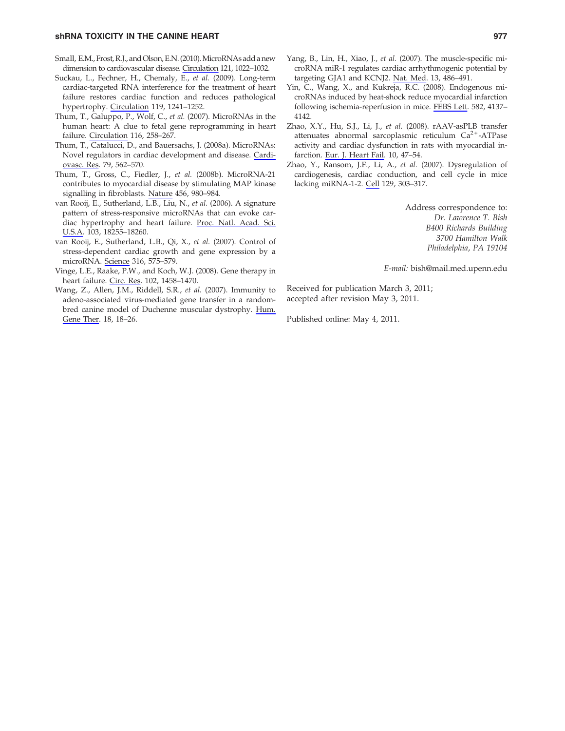# shRNA TOXICITY IN THE CANINE HEART **1998 SHANA TOXICITY IN THE CANINE HEART**

- Small, E.M., Frost, R.J., and Olson, E.N. (2010). MicroRNAs add a new dimension to cardiovascular disease. Circulation 121, 1022–1032.
- Suckau, L., Fechner, H., Chemaly, E., et al. (2009). Long-term cardiac-targeted RNA interference for the treatment of heart failure restores cardiac function and reduces pathological hypertrophy. Circulation 119, 1241–1252.
- Thum, T., Galuppo, P., Wolf, C., et al. (2007). MicroRNAs in the human heart: A clue to fetal gene reprogramming in heart failure. Circulation 116, 258–267.
- Thum, T., Catalucci, D., and Bauersachs, J. (2008a). MicroRNAs: Novel regulators in cardiac development and disease. Cardiovasc. Res. 79, 562–570.
- Thum, T., Gross, C., Fiedler, J., et al. (2008b). MicroRNA-21 contributes to myocardial disease by stimulating MAP kinase signalling in fibroblasts. Nature 456, 980–984.
- van Rooij, E., Sutherland, L.B., Liu, N., et al. (2006). A signature pattern of stress-responsive microRNAs that can evoke cardiac hypertrophy and heart failure. Proc. Natl. Acad. Sci. U.S.A. 103, 18255–18260.
- van Rooij, E., Sutherland, L.B., Qi, X., et al. (2007). Control of stress-dependent cardiac growth and gene expression by a microRNA. Science 316, 575–579.
- Vinge, L.E., Raake, P.W., and Koch, W.J. (2008). Gene therapy in heart failure. Circ. Res. 102, 1458–1470.
- Wang, Z., Allen, J.M., Riddell, S.R., et al. (2007). Immunity to adeno-associated virus-mediated gene transfer in a randombred canine model of Duchenne muscular dystrophy. Hum. Gene Ther. 18, 18–26.
- 
- Yang, B., Lin, H., Xiao, J., et al. (2007). The muscle-specific microRNA miR-1 regulates cardiac arrhythmogenic potential by targeting GJA1 and KCNJ2. Nat. Med. 13, 486–491.
- Yin, C., Wang, X., and Kukreja, R.C. (2008). Endogenous microRNAs induced by heat-shock reduce myocardial infarction following ischemia-reperfusion in mice. FEBS Lett. 582, 4137– 4142.
- Zhao, X.Y., Hu, S.J., Li, J., et al. (2008). rAAV-asPLB transfer attenuates abnormal sarcoplasmic reticulum  $Ca^{2+}-ATP$ ase activity and cardiac dysfunction in rats with myocardial infarction. Eur. J. Heart Fail. 10, 47–54.
- Zhao, Y., Ransom, J.F., Li, A., et al. (2007). Dysregulation of cardiogenesis, cardiac conduction, and cell cycle in mice lacking miRNA-1-2. Cell 129, 303–317.

Address correspondence to: Dr. Lawrence T. Bish B400 Richards Building 3700 Hamilton Walk Philadelphia, PA 19104

E-mail: bish@mail.med.upenn.edu

Received for publication March 3, 2011; accepted after revision May 3, 2011.

Published online: May 4, 2011.